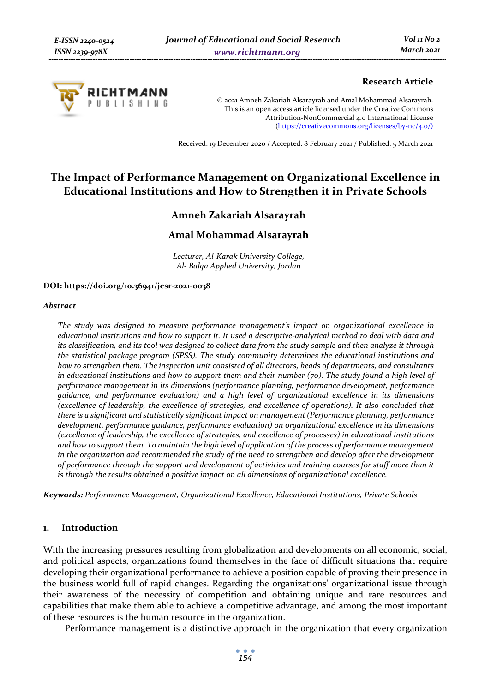

### **Research Article**

© 2021 Amneh Zakariah Alsarayrah and Amal Mohammad Alsarayrah. This is an open access article licensed under the Creative Commons Attribution-NonCommercial 4.0 International License (https://creativecommons.org/licenses/by-nc/4.0/)

Received: 19 December 2020 / Accepted: 8 February 2021 / Published: 5 March 2021

# **The Impact of Performance Management on Organizational Excellence in Educational Institutions and How to Strengthen it in Private Schools**

# **Amneh Zakariah Alsarayrah**

## **Amal Mohammad Alsarayrah**

*Lecturer, Al-Karak University College, Al- Balqa Applied University, Jordan* 

#### **DOI: https://doi.org/10.36941/jesr-2021-0038**

#### *Abstract*

*The study was designed to measure performance management's impact on organizational excellence in educational institutions and how to support it. It used a descriptive-analytical method to deal with data and its classification, and its tool was designed to collect data from the study sample and then analyze it through the statistical package program (SPSS). The study community determines the educational institutions and how to strengthen them. The inspection unit consisted of all directors, heads of departments, and consultants in educational institutions and how to support them and their number (70). The study found a high level of performance management in its dimensions (performance planning, performance development, performance guidance, and performance evaluation) and a high level of organizational excellence in its dimensions (excellence of leadership, the excellence of strategies, and excellence of operations). It also concluded that there is a significant and statistically significant impact on management (Performance planning, performance development, performance guidance, performance evaluation) on organizational excellence in its dimensions (excellence of leadership, the excellence of strategies, and excellence of processes) in educational institutions and how to support them. To maintain the high level of application of the process of performance management in the organization and recommended the study of the need to strengthen and develop after the development of performance through the support and development of activities and training courses for staff more than it is through the results obtained a positive impact on all dimensions of organizational excellence.* 

*Keywords: Performance Management, Organizational Excellence, Educational Institutions, Private Schools* 

#### **1. Introduction**

With the increasing pressures resulting from globalization and developments on all economic, social, and political aspects, organizations found themselves in the face of difficult situations that require developing their organizational performance to achieve a position capable of proving their presence in the business world full of rapid changes. Regarding the organizations' organizational issue through their awareness of the necessity of competition and obtaining unique and rare resources and capabilities that make them able to achieve a competitive advantage, and among the most important of these resources is the human resource in the organization.

Performance management is a distinctive approach in the organization that every organization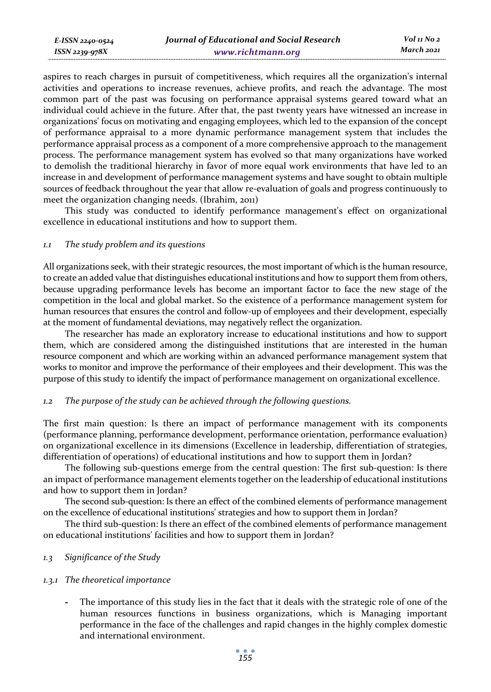aspires to reach charges in pursuit of competitiveness, which requires all the organization's internal activities and operations to increase revenues, achieve profits, and reach the advantage. The most common part of the past was focusing on performance appraisal systems geared toward what an individual could achieve in the future. After that, the past twenty years have witnessed an increase in organizations' focus on motivating and engaging employees, which led to the expansion of the concept of performance appraisal to a more dynamic performance management system that includes the performance appraisal process as a component of a more comprehensive approach to the management process. The performance management system has evolved so that many organizations have worked to demolish the traditional hierarchy in favor of more equal work environments that have led to an increase in and development of performance management systems and have sought to obtain multiple sources of feedback throughout the year that allow re-evaluation of goals and progress continuously to meet the organization changing needs. (Ibrahim, 2011)

This study was conducted to identify performance management's effect on organizational excellence in educational institutions and how to support them.

### *1.1 The study problem and its questions*

All organizations seek, with their strategic resources, the most important of which is the human resource, to create an added value that distinguishes educational institutions and how to support them from others, because upgrading performance levels has become an important factor to face the new stage of the competition in the local and global market. So the existence of a performance management system for human resources that ensures the control and follow-up of employees and their development, especially at the moment of fundamental deviations, may negatively reflect the organization.

The researcher has made an exploratory increase to educational institutions and how to support them, which are considered among the distinguished institutions that are interested in the human resource component and which are working within an advanced performance management system that works to monitor and improve the performance of their employees and their development. This was the purpose of this study to identify the impact of performance management on organizational excellence.

#### *1.2 The purpose of the study can be achieved through the following questions.*

The first main question: Is there an impact of performance management with its components (performance planning, performance development, performance orientation, performance evaluation) on organizational excellence in its dimensions (Excellence in leadership, differentiation of strategies, differentiation of operations) of educational institutions and how to support them in Jordan?

The following sub-questions emerge from the central question: The first sub-question: Is there an impact of performance management elements together on the leadership of educational institutions and how to support them in Jordan?

The second sub-question: Is there an effect of the combined elements of performance management on the excellence of educational institutions' strategies and how to support them in Jordan?

The third sub-question: Is there an effect of the combined elements of performance management on educational institutions' facilities and how to support them in Jordan?

### *1.3 Significance of the Study*

### *1.3.1 The theoretical importance*

**-** The importance of this study lies in the fact that it deals with the strategic role of one of the human resources functions in business organizations, which is Managing important performance in the face of the challenges and rapid changes in the highly complex domestic and international environment.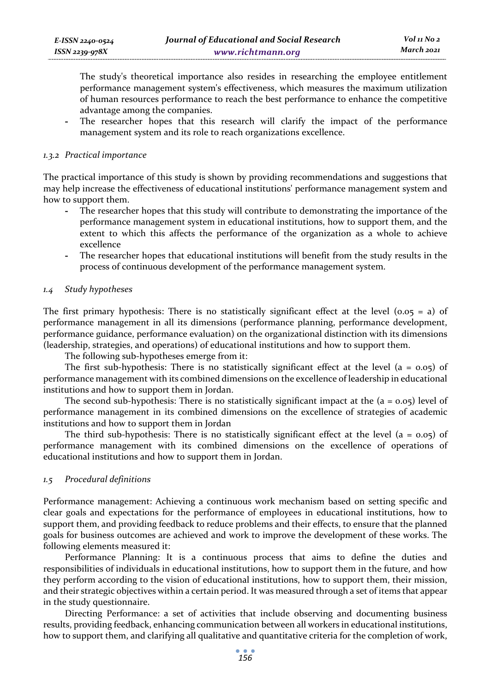The study's theoretical importance also resides in researching the employee entitlement performance management system's effectiveness, which measures the maximum utilization of human resources performance to reach the best performance to enhance the competitive advantage among the companies.

The researcher hopes that this research will clarify the impact of the performance management system and its role to reach organizations excellence.

#### *1.3.2 Practical importance*

The practical importance of this study is shown by providing recommendations and suggestions that may help increase the effectiveness of educational institutions' performance management system and how to support them.

- **-** The researcher hopes that this study will contribute to demonstrating the importance of the performance management system in educational institutions, how to support them, and the extent to which this affects the performance of the organization as a whole to achieve excellence
- **-** The researcher hopes that educational institutions will benefit from the study results in the process of continuous development of the performance management system.

### *1.4 Study hypotheses*

The first primary hypothesis: There is no statistically significant effect at the level ( $0.05 = a$ ) of performance management in all its dimensions (performance planning, performance development, performance guidance, performance evaluation) on the organizational distinction with its dimensions (leadership, strategies, and operations) of educational institutions and how to support them.

The following sub-hypotheses emerge from it:

The first sub-hypothesis: There is no statistically significant effect at the level  $(a = 0.05)$  of performance management with its combined dimensions on the excellence of leadership in educational institutions and how to support them in Jordan.

The second sub-hypothesis: There is no statistically significant impact at the  $(a = 0.05)$  level of performance management in its combined dimensions on the excellence of strategies of academic institutions and how to support them in Jordan

The third sub-hypothesis: There is no statistically significant effect at the level  $(a = 0.05)$  of performance management with its combined dimensions on the excellence of operations of educational institutions and how to support them in Jordan.

### *1.5 Procedural definitions*

Performance management: Achieving a continuous work mechanism based on setting specific and clear goals and expectations for the performance of employees in educational institutions, how to support them, and providing feedback to reduce problems and their effects, to ensure that the planned goals for business outcomes are achieved and work to improve the development of these works. The following elements measured it:

Performance Planning: It is a continuous process that aims to define the duties and responsibilities of individuals in educational institutions, how to support them in the future, and how they perform according to the vision of educational institutions, how to support them, their mission, and their strategic objectives within a certain period. It was measured through a set of items that appear in the study questionnaire.

Directing Performance: a set of activities that include observing and documenting business results, providing feedback, enhancing communication between all workers in educational institutions, how to support them, and clarifying all qualitative and quantitative criteria for the completion of work,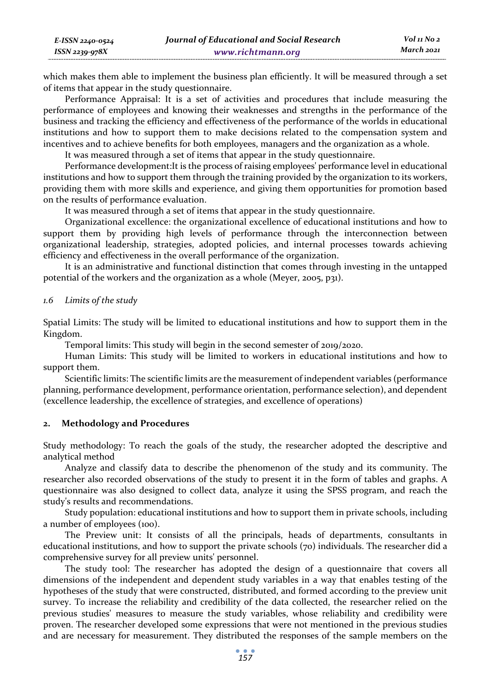which makes them able to implement the business plan efficiently. It will be measured through a set of items that appear in the study questionnaire.

Performance Appraisal: It is a set of activities and procedures that include measuring the performance of employees and knowing their weaknesses and strengths in the performance of the business and tracking the efficiency and effectiveness of the performance of the worlds in educational institutions and how to support them to make decisions related to the compensation system and incentives and to achieve benefits for both employees, managers and the organization as a whole.

It was measured through a set of items that appear in the study questionnaire.

Performance development:It is the process of raising employees' performance level in educational institutions and how to support them through the training provided by the organization to its workers, providing them with more skills and experience, and giving them opportunities for promotion based on the results of performance evaluation.

It was measured through a set of items that appear in the study questionnaire.

Organizational excellence: the organizational excellence of educational institutions and how to support them by providing high levels of performance through the interconnection between organizational leadership, strategies, adopted policies, and internal processes towards achieving efficiency and effectiveness in the overall performance of the organization.

It is an administrative and functional distinction that comes through investing in the untapped potential of the workers and the organization as a whole (Meyer, 2005, p31).

#### *1.6 Limits of the study*

*E-ISSN 2240-0524 ISSN 2239-978X*

Spatial Limits: The study will be limited to educational institutions and how to support them in the Kingdom.

Temporal limits: This study will begin in the second semester of 2019/2020.

Human Limits: This study will be limited to workers in educational institutions and how to support them.

Scientific limits: The scientific limits are the measurement of independent variables (performance planning, performance development, performance orientation, performance selection), and dependent (excellence leadership, the excellence of strategies, and excellence of operations)

#### **2. Methodology and Procedures**

Study methodology: To reach the goals of the study, the researcher adopted the descriptive and analytical method

Analyze and classify data to describe the phenomenon of the study and its community. The researcher also recorded observations of the study to present it in the form of tables and graphs. A questionnaire was also designed to collect data, analyze it using the SPSS program, and reach the study's results and recommendations.

Study population: educational institutions and how to support them in private schools, including a number of employees (100).

The Preview unit: It consists of all the principals, heads of departments, consultants in educational institutions, and how to support the private schools (70) individuals. The researcher did a comprehensive survey for all preview units' personnel.

The study tool: The researcher has adopted the design of a questionnaire that covers all dimensions of the independent and dependent study variables in a way that enables testing of the hypotheses of the study that were constructed, distributed, and formed according to the preview unit survey. To increase the reliability and credibility of the data collected, the researcher relied on the previous studies' measures to measure the study variables, whose reliability and credibility were proven. The researcher developed some expressions that were not mentioned in the previous studies and are necessary for measurement. They distributed the responses of the sample members on the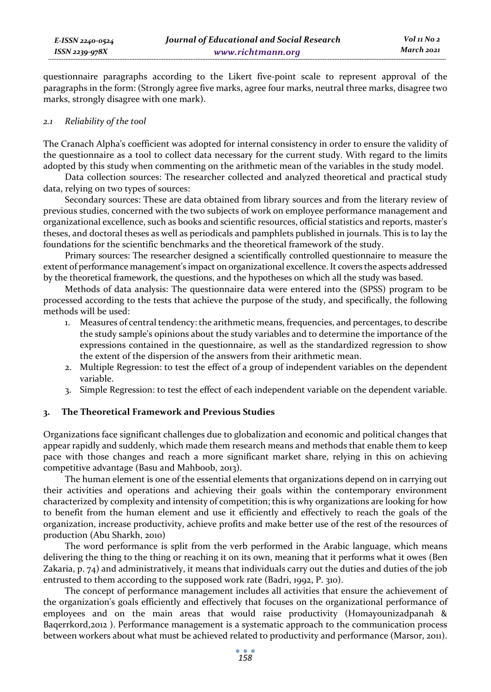questionnaire paragraphs according to the Likert five-point scale to represent approval of the paragraphs in the form: (Strongly agree five marks, agree four marks, neutral three marks, disagree two marks, strongly disagree with one mark).

#### *2.1 Reliability of the tool*

The Cranach Alpha's coefficient was adopted for internal consistency in order to ensure the validity of the questionnaire as a tool to collect data necessary for the current study. With regard to the limits adopted by this study when commenting on the arithmetic mean of the variables in the study model.

Data collection sources: The researcher collected and analyzed theoretical and practical study data, relying on two types of sources:

Secondary sources: These are data obtained from library sources and from the literary review of previous studies, concerned with the two subjects of work on employee performance management and organizational excellence, such as books and scientific resources, official statistics and reports, master's theses, and doctoral theses as well as periodicals and pamphlets published in journals. This is to lay the foundations for the scientific benchmarks and the theoretical framework of the study.

Primary sources: The researcher designed a scientifically controlled questionnaire to measure the extent of performance management's impact on organizational excellence. It covers the aspects addressed by the theoretical framework, the questions, and the hypotheses on which all the study was based.

Methods of data analysis: The questionnaire data were entered into the (SPSS) program to be processed according to the tests that achieve the purpose of the study, and specifically, the following methods will be used:

- 1. Measures of central tendency: the arithmetic means, frequencies, and percentages, to describe the study sample's opinions about the study variables and to determine the importance of the expressions contained in the questionnaire, as well as the standardized regression to show the extent of the dispersion of the answers from their arithmetic mean.
- 2. Multiple Regression: to test the effect of a group of independent variables on the dependent variable.
- 3. Simple Regression: to test the effect of each independent variable on the dependent variable.

### **3. The Theoretical Framework and Previous Studies**

Organizations face significant challenges due to globalization and economic and political changes that appear rapidly and suddenly, which made them research means and methods that enable them to keep pace with those changes and reach a more significant market share, relying in this on achieving competitive advantage (Basu and Mahboob, 2013).

The human element is one of the essential elements that organizations depend on in carrying out their activities and operations and achieving their goals within the contemporary environment characterized by complexity and intensity of competition; this is why organizations are looking for how to benefit from the human element and use it efficiently and effectively to reach the goals of the organization, increase productivity, achieve profits and make better use of the rest of the resources of production (Abu Sharkh, 2010)

The word performance is split from the verb performed in the Arabic language, which means delivering the thing to the thing or reaching it on its own, meaning that it performs what it owes (Ben Zakaria, p. 74) and administratively, it means that individuals carry out the duties and duties of the job entrusted to them according to the supposed work rate (Badri, 1992, P. 310).

The concept of performance management includes all activities that ensure the achievement of the organization's goals efficiently and effectively that focuses on the organizational performance of employees and on the main areas that would raise productivity (Homayounizadpanah & Baqerrkord,2012 ). Performance management is a systematic approach to the communication process between workers about what must be achieved related to productivity and performance (Marsor, 2011).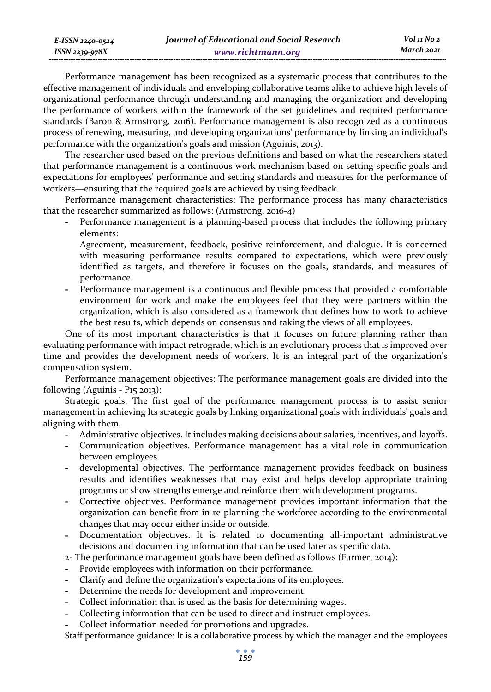| E-ISSN 2240-0524 | Journal of Educational and Social Research | Vol 11 No 2 |
|------------------|--------------------------------------------|-------------|
| ISSN 2239-978X   | www.richtmann.org                          | March 2021  |

Performance management has been recognized as a systematic process that contributes to the effective management of individuals and enveloping collaborative teams alike to achieve high levels of organizational performance through understanding and managing the organization and developing the performance of workers within the framework of the set guidelines and required performance standards (Baron & Armstrong, 2016). Performance management is also recognized as a continuous process of renewing, measuring, and developing organizations' performance by linking an individual's performance with the organization's goals and mission (Aguinis, 2013).

The researcher used based on the previous definitions and based on what the researchers stated that performance management is a continuous work mechanism based on setting specific goals and expectations for employees' performance and setting standards and measures for the performance of workers—ensuring that the required goals are achieved by using feedback.

Performance management characteristics: The performance process has many characteristics that the researcher summarized as follows: (Armstrong, 2016-4)

**-** Performance management is a planning-based process that includes the following primary elements:

Agreement, measurement, feedback, positive reinforcement, and dialogue. It is concerned with measuring performance results compared to expectations, which were previously identified as targets, and therefore it focuses on the goals, standards, and measures of performance.

**-** Performance management is a continuous and flexible process that provided a comfortable environment for work and make the employees feel that they were partners within the organization, which is also considered as a framework that defines how to work to achieve the best results, which depends on consensus and taking the views of all employees.

One of its most important characteristics is that it focuses on future planning rather than evaluating performance with impact retrograde, which is an evolutionary process that is improved over time and provides the development needs of workers. It is an integral part of the organization's compensation system.

Performance management objectives: The performance management goals are divided into the following (Aguinis - P15 2013):

Strategic goals. The first goal of the performance management process is to assist senior management in achieving Its strategic goals by linking organizational goals with individuals' goals and aligning with them.

- **-** Administrative objectives. It includes making decisions about salaries, incentives, and layoffs.
- **-** Communication objectives. Performance management has a vital role in communication between employees.
- **-** developmental objectives. The performance management provides feedback on business results and identifies weaknesses that may exist and helps develop appropriate training programs or show strengths emerge and reinforce them with development programs.
- **-** Corrective objectives. Performance management provides important information that the organization can benefit from in re-planning the workforce according to the environmental changes that may occur either inside or outside.
- **-** Documentation objectives. It is related to documenting all-important administrative decisions and documenting information that can be used later as specific data.

2- The performance management goals have been defined as follows (Farmer, 2014):

- **-** Provide employees with information on their performance.
- **-** Clarify and define the organization's expectations of its employees.
- **-** Determine the needs for development and improvement.
- **-** Collect information that is used as the basis for determining wages.
- **-** Collecting information that can be used to direct and instruct employees.
- **-** Collect information needed for promotions and upgrades.

Staff performance guidance: It is a collaborative process by which the manager and the employees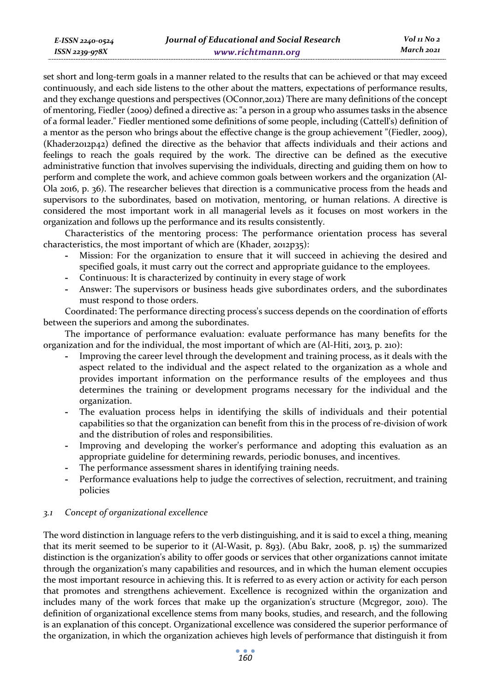*E-ISSN 2240-0524 ISSN 2239-978X*

set short and long-term goals in a manner related to the results that can be achieved or that may exceed continuously, and each side listens to the other about the matters, expectations of performance results, and they exchange questions and perspectives (OConnor,2012) There are many definitions of the concept of mentoring, Fiedler (2009) defined a directive as: "a person in a group who assumes tasks in the absence of a formal leader." Fiedler mentioned some definitions of some people, including (Cattell's) definition of a mentor as the person who brings about the effective change is the group achievement "(Fiedler, 2009), (Khader2012p42) defined the directive as the behavior that affects individuals and their actions and feelings to reach the goals required by the work. The directive can be defined as the executive administrative function that involves supervising the individuals, directing and guiding them on how to perform and complete the work, and achieve common goals between workers and the organization (Al-Ola 2016, p. 36). The researcher believes that direction is a communicative process from the heads and supervisors to the subordinates, based on motivation, mentoring, or human relations. A directive is considered the most important work in all managerial levels as it focuses on most workers in the organization and follows up the performance and its results consistently.

Characteristics of the mentoring process: The performance orientation process has several characteristics, the most important of which are (Khader, 2012p35):

- **-** Mission: For the organization to ensure that it will succeed in achieving the desired and specified goals, it must carry out the correct and appropriate guidance to the employees.
- **-** Continuous: It is characterized by continuity in every stage of work
- **-** Answer: The supervisors or business heads give subordinates orders, and the subordinates must respond to those orders.

Coordinated: The performance directing process's success depends on the coordination of efforts between the superiors and among the subordinates.

The importance of performance evaluation: evaluate performance has many benefits for the organization and for the individual, the most important of which are (Al-Hiti, 2013, p. 210):

- **-** Improving the career level through the development and training process, as it deals with the aspect related to the individual and the aspect related to the organization as a whole and provides important information on the performance results of the employees and thus determines the training or development programs necessary for the individual and the organization.
- **-** The evaluation process helps in identifying the skills of individuals and their potential capabilities so that the organization can benefit from this in the process of re-division of work and the distribution of roles and responsibilities.
- **-** Improving and developing the worker's performance and adopting this evaluation as an appropriate guideline for determining rewards, periodic bonuses, and incentives.
- **-** The performance assessment shares in identifying training needs.
- **-** Performance evaluations help to judge the correctives of selection, recruitment, and training policies

### *3.1 Concept of organizational excellence*

The word distinction in language refers to the verb distinguishing, and it is said to excel a thing, meaning that its merit seemed to be superior to it (Al-Wasit, p. 893). (Abu Bakr, 2008, p. 15) the summarized distinction is the organization's ability to offer goods or services that other organizations cannot imitate through the organization's many capabilities and resources, and in which the human element occupies the most important resource in achieving this. It is referred to as every action or activity for each person that promotes and strengthens achievement. Excellence is recognized within the organization and includes many of the work forces that make up the organization's structure (Mcgregor, 2010). The definition of organizational excellence stems from many books, studies, and research, and the following is an explanation of this concept. Organizational excellence was considered the superior performance of the organization, in which the organization achieves high levels of performance that distinguish it from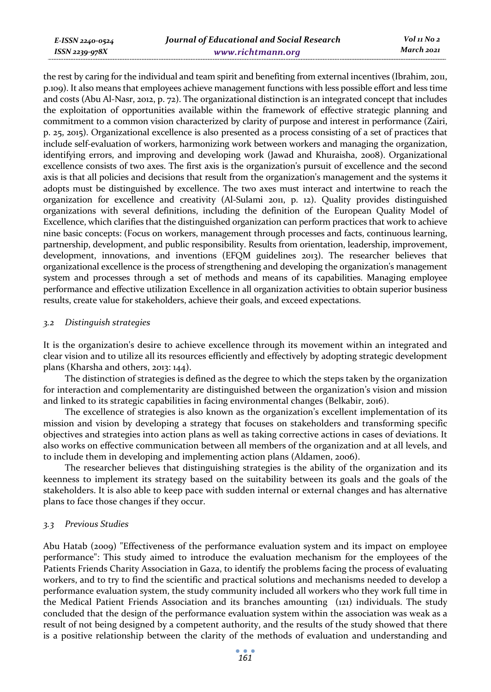*E-ISSN 2240-0524 ISSN 2239-978X*

the rest by caring for the individual and team spirit and benefiting from external incentives (Ibrahim, 2011, p.109). It also means that employees achieve management functions with less possible effort and less time and costs (Abu Al-Nasr, 2012, p. 72). The organizational distinction is an integrated concept that includes the exploitation of opportunities available within the framework of effective strategic planning and commitment to a common vision characterized by clarity of purpose and interest in performance (Zairi, p. 25, 2015). Organizational excellence is also presented as a process consisting of a set of practices that include self-evaluation of workers, harmonizing work between workers and managing the organization, identifying errors, and improving and developing work (Jawad and Khuraisha, 2008). Organizational excellence consists of two axes. The first axis is the organization's pursuit of excellence and the second axis is that all policies and decisions that result from the organization's management and the systems it adopts must be distinguished by excellence. The two axes must interact and intertwine to reach the organization for excellence and creativity (Al-Sulami 2011, p. 12). Quality provides distinguished organizations with several definitions, including the definition of the European Quality Model of Excellence, which clarifies that the distinguished organization can perform practices that work to achieve nine basic concepts: (Focus on workers, management through processes and facts, continuous learning, partnership, development, and public responsibility. Results from orientation, leadership, improvement, development, innovations, and inventions (EFQM guidelines 2013). The researcher believes that organizational excellence is the process of strengthening and developing the organization's management system and processes through a set of methods and means of its capabilities. Managing employee performance and effective utilization Excellence in all organization activities to obtain superior business results, create value for stakeholders, achieve their goals, and exceed expectations.

#### *3.2 Distinguish strategies*

It is the organization's desire to achieve excellence through its movement within an integrated and clear vision and to utilize all its resources efficiently and effectively by adopting strategic development plans (Kharsha and others, 2013: 144).

The distinction of strategies is defined as the degree to which the steps taken by the organization for interaction and complementarity are distinguished between the organization's vision and mission and linked to its strategic capabilities in facing environmental changes (Belkabir, 2016).

The excellence of strategies is also known as the organization's excellent implementation of its mission and vision by developing a strategy that focuses on stakeholders and transforming specific objectives and strategies into action plans as well as taking corrective actions in cases of deviations. It also works on effective communication between all members of the organization and at all levels, and to include them in developing and implementing action plans (Aldamen, 2006).

The researcher believes that distinguishing strategies is the ability of the organization and its keenness to implement its strategy based on the suitability between its goals and the goals of the stakeholders. It is also able to keep pace with sudden internal or external changes and has alternative plans to face those changes if they occur.

#### *3.3 Previous Studies*

Abu Hatab (2009) "Effectiveness of the performance evaluation system and its impact on employee performance": This study aimed to introduce the evaluation mechanism for the employees of the Patients Friends Charity Association in Gaza, to identify the problems facing the process of evaluating workers, and to try to find the scientific and practical solutions and mechanisms needed to develop a performance evaluation system, the study community included all workers who they work full time in the Medical Patient Friends Association and its branches amounting (121) individuals. The study concluded that the design of the performance evaluation system within the association was weak as a result of not being designed by a competent authority, and the results of the study showed that there is a positive relationship between the clarity of the methods of evaluation and understanding and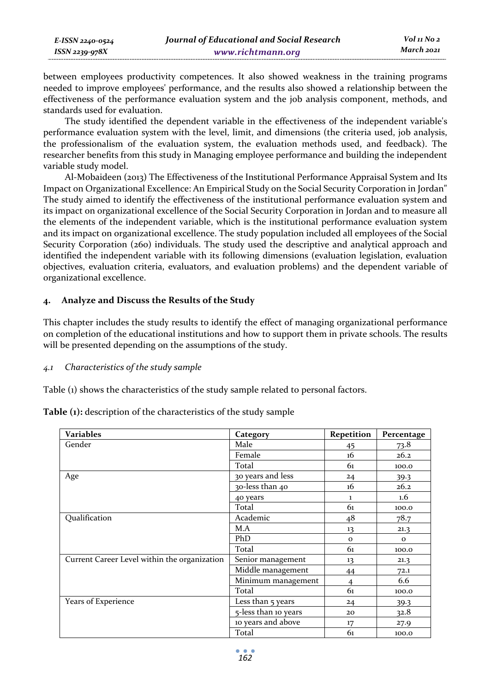| E-ISSN 2240-0524    | Journal of Educational and Social Research | Vol 11 No 2 |
|---------------------|--------------------------------------------|-------------|
| $ISSN$ 2239-97 $8X$ | www.richtmann.org                          | March 2021  |

between employees productivity competences. It also showed weakness in the training programs needed to improve employees' performance, and the results also showed a relationship between the effectiveness of the performance evaluation system and the job analysis component, methods, and standards used for evaluation.

The study identified the dependent variable in the effectiveness of the independent variable's performance evaluation system with the level, limit, and dimensions (the criteria used, job analysis, the professionalism of the evaluation system, the evaluation methods used, and feedback). The researcher benefits from this study in Managing employee performance and building the independent variable study model.

Al-Mobaideen (2013) The Effectiveness of the Institutional Performance Appraisal System and Its Impact on Organizational Excellence: An Empirical Study on the Social Security Corporation in Jordan" The study aimed to identify the effectiveness of the institutional performance evaluation system and its impact on organizational excellence of the Social Security Corporation in Jordan and to measure all the elements of the independent variable, which is the institutional performance evaluation system and its impact on organizational excellence. The study population included all employees of the Social Security Corporation (260) individuals. The study used the descriptive and analytical approach and identified the independent variable with its following dimensions (evaluation legislation, evaluation objectives, evaluation criteria, evaluators, and evaluation problems) and the dependent variable of organizational excellence.

### **4. Analyze and Discuss the Results of the Study**

This chapter includes the study results to identify the effect of managing organizational performance on completion of the educational institutions and how to support them in private schools. The results will be presented depending on the assumptions of the study.

#### *4.1 Characteristics of the study sample*

Table (1) shows the characteristics of the study sample related to personal factors.

**Table (1):** description of the characteristics of the study sample

| <b>Variables</b>                             | Category             | Repetition     | Percentage |
|----------------------------------------------|----------------------|----------------|------------|
| Gender                                       | Male                 | 45             | 73.8       |
|                                              | Female               | 16             | 26.2       |
|                                              | Total                | 61             | 100.0      |
| Age                                          | 30 years and less    | 24             | 39.3       |
|                                              | 30-less than 40      | 16             | 26.2       |
|                                              | 40 years             | $\mathbf{1}$   | 1.6        |
|                                              | Total                | 61             | 100.0      |
| Qualification                                | Academic             | 48             | 78.7       |
|                                              | M.A                  | 13             | 21.3       |
|                                              | PhD                  | $\mathbf{o}$   | $\Omega$   |
|                                              | Total                | 61             | 100.0      |
| Current Career Level within the organization | Senior management    | 13             | 21.3       |
|                                              | Middle management    | 44             | 72.1       |
|                                              | Minimum management   | $\overline{4}$ | 6.6        |
|                                              | Total                | 61             | 100.0      |
| Years of Experience                          | Less than 5 years    | 24             | 39.3       |
|                                              | 5-less than 10 years | 20             | 32.8       |
|                                              | 10 years and above   | 17             | 27.9       |
|                                              | Total                | 61             | 100.0      |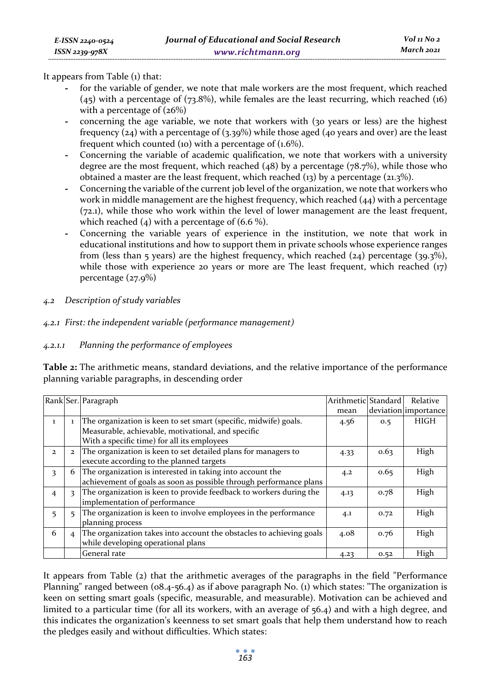It appears from Table (1) that:

- **-** for the variable of gender, we note that male workers are the most frequent, which reached (45) with a percentage of (73.8%), while females are the least recurring, which reached (16) with a percentage of  $(26%)$
- **-** concerning the age variable, we note that workers with (30 years or less) are the highest frequency  $(24)$  with a percentage of  $(3.39%)$  while those aged  $(40$  years and over) are the least frequent which counted (10) with a percentage of  $(1.6\%)$ .
- **-** Concerning the variable of academic qualification, we note that workers with a university degree are the most frequent, which reached  $(48)$  by a percentage  $(78.7%)$ , while those who obtained a master are the least frequent, which reached (13) by a percentage (21.3%).
- **-** Concerning the variable of the current job level of the organization, we note that workers who work in middle management are the highest frequency, which reached  $(44)$  with a percentage (72.1), while those who work within the level of lower management are the least frequent, which reached  $(4)$  with a percentage of  $(6.6\%)$ .
- **-** Concerning the variable years of experience in the institution, we note that work in educational institutions and how to support them in private schools whose experience ranges from (less than 5 years) are the highest frequency, which reached  $(24)$  percentage  $(39.3\%)$ , while those with experience 20 years or more are The least frequent, which reached  $(\tau)$ percentage (27.9%)
- *4.2 Description of study variables*

### *4.2.1 First: the independent variable (performance management)*

*4.2.1.1 Planning the performance of employees* 

**Table 2:** The arithmetic means, standard deviations, and the relative importance of the performance planning variable paragraphs, in descending order

|                |                         | Rank Ser. Paragraph                                                  | Arithmetic Standard |      | Relative             |
|----------------|-------------------------|----------------------------------------------------------------------|---------------------|------|----------------------|
|                |                         |                                                                      | mean                |      | deviation importance |
| 1              |                         | The organization is keen to set smart (specific, midwife) goals.     | 4.56                | 0.5  | HIGH                 |
|                |                         | Measurable, achievable, motivational, and specific                   |                     |      |                      |
|                |                         | With a specific time) for all its employees                          |                     |      |                      |
| $\mathbf{z}$   | $\mathbf{2}$            | The organization is keen to set detailed plans for managers to       | 4.33                | 0.63 | High                 |
|                |                         | execute according to the planned targets                             |                     |      |                      |
| 3              | 6                       | The organization is interested in taking into account the            | 4.2                 | 0.65 | High                 |
|                |                         | achievement of goals as soon as possible through performance plans   |                     |      |                      |
| $\overline{4}$ | $\overline{\mathbf{3}}$ | The organization is keen to provide feedback to workers during the   | 4.13                | 0.78 | High                 |
|                |                         | implementation of performance                                        |                     |      |                      |
| 5              | 5                       | The organization is keen to involve employees in the performance     | 4.1                 | 0.72 | High                 |
|                |                         | planning process                                                     |                     |      |                      |
| 6              | $\overline{4}$          | The organization takes into account the obstacles to achieving goals | 4.08                | 0.76 | High                 |
|                |                         | while developing operational plans                                   |                     |      |                      |
|                |                         | General rate                                                         | 4.23                | 0.52 | High                 |

It appears from Table (2) that the arithmetic averages of the paragraphs in the field "Performance Planning" ranged between (08.4-56.4) as if above paragraph No. (1) which states: "The organization is keen on setting smart goals (specific, measurable, and measurable). Motivation can be achieved and limited to a particular time (for all its workers, with an average of 56.4) and with a high degree, and this indicates the organization's keenness to set smart goals that help them understand how to reach the pledges easily and without difficulties. Which states: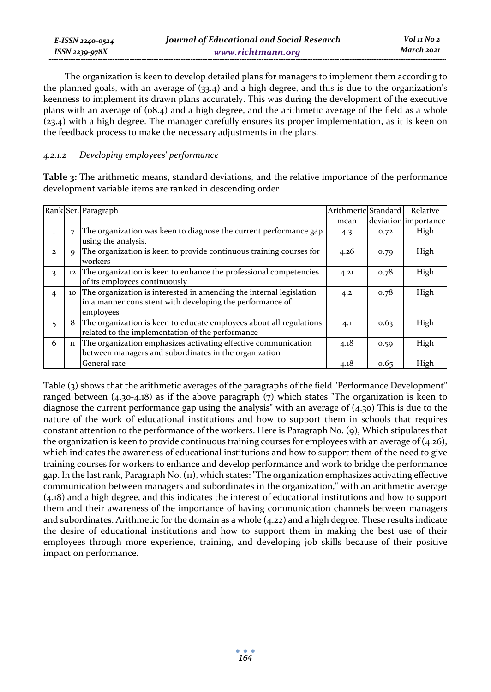| E-ISSN 2240-0524    | Journal of Educational and Social Research | Vol 11 No 2 |
|---------------------|--------------------------------------------|-------------|
| $ISSN$ 2239-97 $8X$ | www.richtmann.org                          | March 2021  |

The organization is keen to develop detailed plans for managers to implement them according to the planned goals, with an average of  $(33.4)$  and a high degree, and this is due to the organization's keenness to implement its drawn plans accurately. This was during the development of the executive plans with an average of (08.4) and a high degree, and the arithmetic average of the field as a whole (23.4) with a high degree. The manager carefully ensures its proper implementation, as it is keen on the feedback process to make the necessary adjustments in the plans.

### *4.2.1.2 Developing employees' performance*

**Table 3:** The arithmetic means, standard deviations, and the relative importance of the performance development variable items are ranked in descending order

|                |             | Rank Ser. Paragraph                                                    | Arithmetic Standard |      | Relative             |
|----------------|-------------|------------------------------------------------------------------------|---------------------|------|----------------------|
|                |             |                                                                        | mean                |      | deviation importance |
| 1              | 7           | The organization was keen to diagnose the current performance gap      | 4.3                 | 0.72 | High                 |
|                |             | using the analysis.                                                    |                     |      |                      |
| $\mathbf{z}$   | $\mathbf Q$ | The organization is keen to provide continuous training courses for    | 4.26                | 0.79 | High                 |
|                |             | workers                                                                |                     |      |                      |
| 3              | 12          | The organization is keen to enhance the professional competencies      | 4.21                | 0.78 | High                 |
|                |             | of its employees continuously                                          |                     |      |                      |
| $\overline{4}$ |             | 10 The organization is interested in amending the internal legislation | 4.2                 | 0.78 | High                 |
|                |             | in a manner consistent with developing the performance of              |                     |      |                      |
|                |             | employees                                                              |                     |      |                      |
| 5              | 8           | The organization is keen to educate employees about all regulations    | 4.1                 | 0.63 | High                 |
|                |             | related to the implementation of the performance                       |                     |      |                      |
| 6              |             | 11 The organization emphasizes activating effective communication      | 4.18                | 0.59 | High                 |
|                |             | between managers and subordinates in the organization                  |                     |      |                      |
|                |             | General rate                                                           | 4.18                | 0.65 | High                 |

Table (3) shows that the arithmetic averages of the paragraphs of the field "Performance Development" ranged between (4.30-4.18) as if the above paragraph (7) which states "The organization is keen to diagnose the current performance gap using the analysis" with an average of (4.30) This is due to the nature of the work of educational institutions and how to support them in schools that requires constant attention to the performance of the workers. Here is Paragraph No. (9), Which stipulates that the organization is keen to provide continuous training courses for employees with an average of (4.26), which indicates the awareness of educational institutions and how to support them of the need to give training courses for workers to enhance and develop performance and work to bridge the performance gap. In the last rank, Paragraph No. (11), which states: "The organization emphasizes activating effective communication between managers and subordinates in the organization," with an arithmetic average (4.18) and a high degree, and this indicates the interest of educational institutions and how to support them and their awareness of the importance of having communication channels between managers and subordinates. Arithmetic for the domain as a whole (4.22) and a high degree. These results indicate the desire of educational institutions and how to support them in making the best use of their employees through more experience, training, and developing job skills because of their positive impact on performance.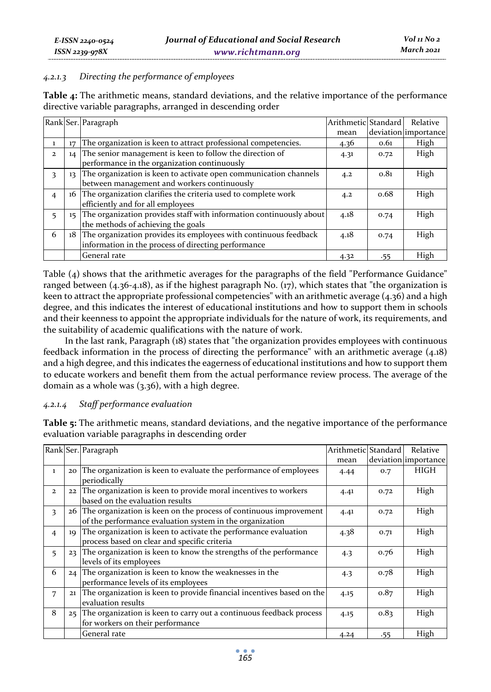### *4.2.1.3 Directing the performance of employees*

| <b>Table 4:</b> The arithmetic means, standard deviations, and the relative importance of the performance |  |
|-----------------------------------------------------------------------------------------------------------|--|
| directive variable paragraphs, arranged in descending order                                               |  |

|                |    | Rank Ser. Paragraph                                                    | Arithmetic Standard |      | Relative             |
|----------------|----|------------------------------------------------------------------------|---------------------|------|----------------------|
|                |    |                                                                        | mean                |      | deviation importance |
|                | 17 | The organization is keen to attract professional competencies.         | 4.36                | 0.61 | High                 |
| $\mathbf{2}$   |    | 14 The senior management is keen to follow the direction of            | 4.31                | 0.72 | High                 |
|                |    | performance in the organization continuously                           |                     |      |                      |
| 3              |    | 13 The organization is keen to activate open communication channels    | 4.2                 | 0.81 | High                 |
|                |    | between management and workers continuously                            |                     |      |                      |
| $\overline{4}$ |    | 16 The organization clarifies the criteria used to complete work       | 4.2                 | 0.68 | High                 |
|                |    | efficiently and for all employees                                      |                     |      |                      |
|                |    | 15 The organization provides staff with information continuously about | 4.18                | 0.74 | High                 |
|                |    | the methods of achieving the goals                                     |                     |      |                      |
| 6              |    | 18 The organization provides its employees with continuous feedback    | 4.18                | 0.74 | High                 |
|                |    | information in the process of directing performance                    |                     |      |                      |
|                |    | General rate                                                           | 4.32                | .55  | High                 |

Table (4) shows that the arithmetic averages for the paragraphs of the field "Performance Guidance" ranged between  $(4.36-4.18)$ , as if the highest paragraph No.  $(17)$ , which states that "the organization is keen to attract the appropriate professional competencies" with an arithmetic average (4.36) and a high degree, and this indicates the interest of educational institutions and how to support them in schools and their keenness to appoint the appropriate individuals for the nature of work, its requirements, and the suitability of academic qualifications with the nature of work.

In the last rank, Paragraph (18) states that "the organization provides employees with continuous feedback information in the process of directing the performance" with an arithmetic average (4.18) and a high degree, and this indicates the eagerness of educational institutions and how to support them to educate workers and benefit them from the actual performance review process. The average of the domain as a whole was (3.36), with a high degree.

### *4.2.1.4 Staff performance evaluation*

**Table 5:** The arithmetic means, standard deviations, and the negative importance of the performance evaluation variable paragraphs in descending order

|                |    | Rank Ser. Paragraph                                                                                                              | Arithmetic Standard |      | Relative             |
|----------------|----|----------------------------------------------------------------------------------------------------------------------------------|---------------------|------|----------------------|
|                |    |                                                                                                                                  | mean                |      | deviation importance |
| $\mathbf{1}$   |    | 20 The organization is keen to evaluate the performance of employees<br>periodically                                             | 4.44                | 0.7  | HIGH                 |
| $\mathbf{2}$   |    | 22 The organization is keen to provide moral incentives to workers<br>based on the evaluation results                            | 4.41                | 0.72 | High                 |
| 3              |    | 26 The organization is keen on the process of continuous improvement<br>of the performance evaluation system in the organization | 4.41                | 0.72 | High                 |
| $\overline{4}$ | 10 | The organization is keen to activate the performance evaluation<br>process based on clear and specific criteria                  | 4.38                | 0.71 | High                 |
| 5              |    | 23 The organization is keen to know the strengths of the performance<br>levels of its employees                                  | 4.3                 | 0.76 | High                 |
| 6              |    | 24 The organization is keen to know the weaknesses in the<br>performance levels of its employees                                 | 4.3                 | 0.78 | High                 |
| 7              | 21 | The organization is keen to provide financial incentives based on the<br>evaluation results                                      | 4.15                | 0.87 | High                 |
| 8              |    | 25 The organization is keen to carry out a continuous feedback process<br>for workers on their performance                       | 4.15                | 0.83 | High                 |
|                |    | General rate                                                                                                                     | 4.24                | .55  | High                 |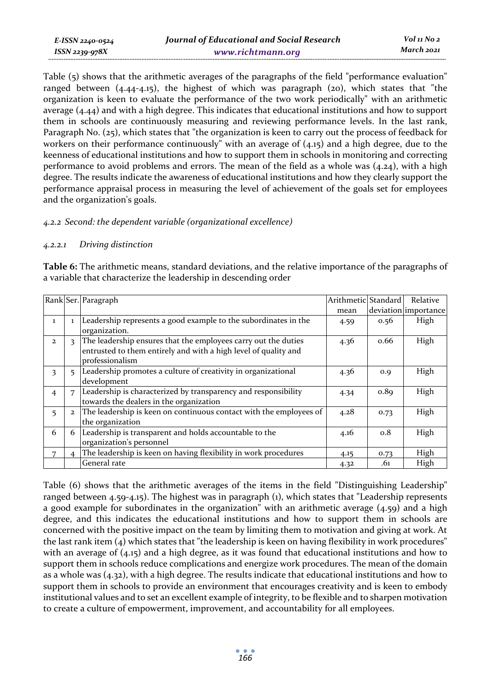Table (5) shows that the arithmetic averages of the paragraphs of the field "performance evaluation" ranged between  $(4.44-4.15)$ , the highest of which was paragraph  $(20)$ , which states that "the organization is keen to evaluate the performance of the two work periodically" with an arithmetic average (4.44) and with a high degree. This indicates that educational institutions and how to support them in schools are continuously measuring and reviewing performance levels. In the last rank, Paragraph No. (25), which states that "the organization is keen to carry out the process of feedback for workers on their performance continuously" with an average of (4.15) and a high degree, due to the keenness of educational institutions and how to support them in schools in monitoring and correcting performance to avoid problems and errors. The mean of the field as a whole was  $(4.24)$ , with a high degree. The results indicate the awareness of educational institutions and how they clearly support the performance appraisal process in measuring the level of achievement of the goals set for employees and the organization's goals.

### *4.2.2 Second: the dependent variable (organizational excellence)*

### *4.2.2.1 Driving distinction*

*E-ISSN 2240-0524 ISSN 2239-978X*

**Table 6:** The arithmetic means, standard deviations, and the relative importance of the paragraphs of a variable that characterize the leadership in descending order

|                |              | Rank Ser. Paragraph                                                                                                                                  | Arithmetic Standard |      | Relative             |
|----------------|--------------|------------------------------------------------------------------------------------------------------------------------------------------------------|---------------------|------|----------------------|
|                |              |                                                                                                                                                      | mean                |      | deviation importance |
| 1              |              | Leadership represents a good example to the subordinates in the<br>organization.                                                                     | 4.59                | 0.56 | High                 |
| $\mathbf{2}$   | 3            | The leadership ensures that the employees carry out the duties<br>entrusted to them entirely and with a high level of quality and<br>professionalism | 4.36                | 0.66 | High                 |
| 3              | 5            | Leadership promotes a culture of creativity in organizational<br>development                                                                         | 4.36                | O.Q  | High                 |
| $\overline{4}$ | 7            | Leadership is characterized by transparency and responsibility<br>towards the dealers in the organization                                            | 4.34                | 0.89 | High                 |
| 5              | $\mathbf{2}$ | The leadership is keen on continuous contact with the employees of<br>the organization                                                               | 4.28                | 0.73 | High                 |
| 6              | 6            | Leadership is transparent and holds accountable to the<br>organization's personnel                                                                   | 4.16                | 0.8  | High                 |
|                |              | The leadership is keen on having flexibility in work procedures                                                                                      | 4.15                | 0.73 | High                 |
|                |              | General rate                                                                                                                                         | 4.32                | .61  | High                 |

Table (6) shows that the arithmetic averages of the items in the field "Distinguishing Leadership" ranged between 4.59-4.15). The highest was in paragraph (1), which states that "Leadership represents a good example for subordinates in the organization" with an arithmetic average (4.59) and a high degree, and this indicates the educational institutions and how to support them in schools are concerned with the positive impact on the team by limiting them to motivation and giving at work. At the last rank item (4) which states that "the leadership is keen on having flexibility in work procedures" with an average of (4.15) and a high degree, as it was found that educational institutions and how to support them in schools reduce complications and energize work procedures. The mean of the domain as a whole was (4.32), with a high degree. The results indicate that educational institutions and how to support them in schools to provide an environment that encourages creativity and is keen to embody institutional values and to set an excellent example of integrity, to be flexible and to sharpen motivation to create a culture of empowerment, improvement, and accountability for all employees.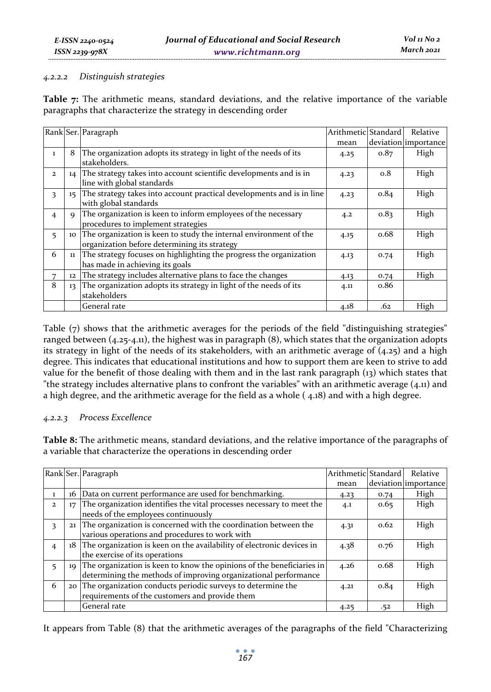#### *4.2.2.2 Distinguish strategies*

**Table 7:** The arithmetic means, standard deviations, and the relative importance of the variable paragraphs that characterize the strategy in descending order

|                |             | Rank Ser. Paragraph                                                                                                  | Arithmetic Standard |      | Relative             |
|----------------|-------------|----------------------------------------------------------------------------------------------------------------------|---------------------|------|----------------------|
|                |             |                                                                                                                      | mean                |      | deviation importance |
| $\mathbf{1}$   | 8           | The organization adopts its strategy in light of the needs of its<br>stakeholders.                                   | 4.25                | 0.87 | High                 |
| $\overline{2}$ |             | 14 The strategy takes into account scientific developments and is in<br>line with global standards                   | 4.23                | 0.8  | High                 |
| 3              |             | 15 The strategy takes into account practical developments and is in line<br>with global standards                    | 4.23                | 0.84 | High                 |
| $\overline{4}$ | $\mathbf Q$ | The organization is keen to inform employees of the necessary<br>procedures to implement strategies                  | 4.2                 | 0.83 | High                 |
| 5              |             | 10 The organization is keen to study the internal environment of the<br>organization before determining its strategy | 4.15                | 0.68 | High                 |
| 6              |             | 11 The strategy focuses on highlighting the progress the organization<br>has made in achieving its goals             | 4.13                | 0.74 | High                 |
| 7              | 12          | The strategy includes alternative plans to face the changes                                                          | 4.13                | 0.74 | High                 |
| 8              | 13          | The organization adopts its strategy in light of the needs of its<br>stakeholders                                    | 4.11                | 0.86 |                      |
|                |             | General rate                                                                                                         | 4.18                | .62  | High                 |

Table (7) shows that the arithmetic averages for the periods of the field "distinguishing strategies" ranged between (4.25-4.11), the highest was in paragraph (8), which states that the organization adopts its strategy in light of the needs of its stakeholders, with an arithmetic average of  $(4.25)$  and a high degree. This indicates that educational institutions and how to support them are keen to strive to add value for the benefit of those dealing with them and in the last rank paragraph (13) which states that "the strategy includes alternative plans to confront the variables" with an arithmetic average (4.11) and a high degree, and the arithmetic average for the field as a whole ( 4.18) and with a high degree.

### *4.2.2.3 Process Excellence*

**Table 8:** The arithmetic means, standard deviations, and the relative importance of the paragraphs of a variable that characterize the operations in descending order

|              |    | Rank Ser. Paragraph                                                      | Arithmetic Standard |      | Relative             |
|--------------|----|--------------------------------------------------------------------------|---------------------|------|----------------------|
|              |    |                                                                          | mean                |      | deviation importance |
|              |    | 16 Data on current performance are used for benchmarking.                | 4.23                | 0.74 | High                 |
| $\mathbf{2}$ | 17 | The organization identifies the vital processes necessary to meet the    | 4.1                 | 0.65 | High                 |
|              |    | needs of the employees continuously                                      |                     |      |                      |
| 3            |    | 21 The organization is concerned with the coordination between the       | 4.31                | 0.62 | High                 |
|              |    | various operations and procedures to work with                           |                     |      |                      |
| 4            |    | 18 The organization is keen on the availability of electronic devices in | 4.38                | 0.76 | High                 |
|              |    | the exercise of its operations                                           |                     |      |                      |
|              |    | 19 The organization is keen to know the opinions of the beneficiaries in | 4.26                | 0.68 | High                 |
|              |    | determining the methods of improving organizational performance          |                     |      |                      |
| 6            |    | 20 The organization conducts periodic surveys to determine the           | 4.21                | 0.84 | High                 |
|              |    | requirements of the customers and provide them                           |                     |      |                      |
|              |    | General rate                                                             | 4.25                | .52  | High                 |

It appears from Table (8) that the arithmetic averages of the paragraphs of the field "Characterizing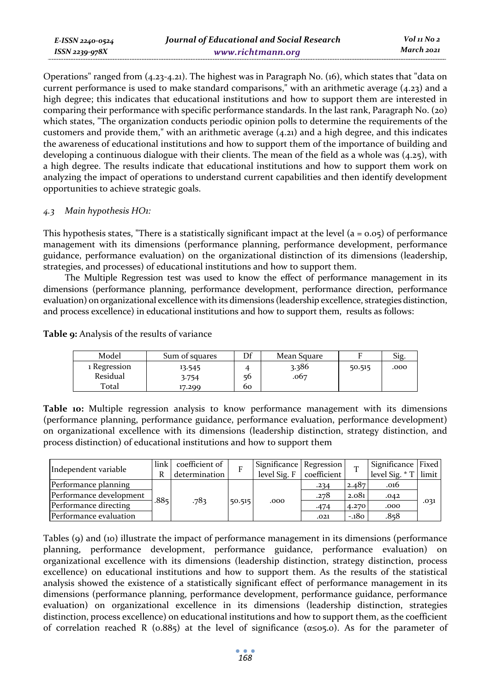Operations" ranged from (4.23-4.21). The highest was in Paragraph No. (16), which states that "data on current performance is used to make standard comparisons," with an arithmetic average (4.23) and a high degree; this indicates that educational institutions and how to support them are interested in comparing their performance with specific performance standards. In the last rank, Paragraph No. (20) which states, "The organization conducts periodic opinion polls to determine the requirements of the customers and provide them," with an arithmetic average  $(4.21)$  and a high degree, and this indicates the awareness of educational institutions and how to support them of the importance of building and developing a continuous dialogue with their clients. The mean of the field as a whole was (4.25), with a high degree. The results indicate that educational institutions and how to support them work on analyzing the impact of operations to understand current capabilities and then identify development opportunities to achieve strategic goals.

### *4.3 Main hypothesis HO1:*

This hypothesis states, "There is a statistically significant impact at the level  $(a = 0.05)$  of performance management with its dimensions (performance planning, performance development, performance guidance, performance evaluation) on the organizational distinction of its dimensions (leadership, strategies, and processes) of educational institutions and how to support them.

The Multiple Regression test was used to know the effect of performance management in its dimensions (performance planning, performance development, performance direction, performance evaluation) on organizational excellence with its dimensions (leadership excellence, strategies distinction, and process excellence) in educational institutions and how to support them, results as follows:

**Table 9:** Analysis of the results of variance

| Model                             | Sum of squares            | Df       | Mean Square   |        | Sig  |
|-----------------------------------|---------------------------|----------|---------------|--------|------|
| 1 Regression<br>Residual<br>Total | 13.545<br>3.754<br>17.299 | 56<br>60 | 3.386<br>.067 | 50.515 | .000 |

**Table 10:** Multiple regression analysis to know performance management with its dimensions (performance planning, performance guidance, performance evaluation, performance development) on organizational excellence with its dimensions (leadership distinction, strategy distinction, and process distinction) of educational institutions and how to support them

| Independent variable    | link | coefficient of<br>determination |        | Significance   Regression  <br>level Sig. F | coefficient |        | Significance Fixed<br>level Sig. * T | limit |
|-------------------------|------|---------------------------------|--------|---------------------------------------------|-------------|--------|--------------------------------------|-------|
| Performance planning    |      |                                 |        |                                             | .234        | 2.487  | .016                                 |       |
| Performance development |      |                                 |        |                                             | .278        | 2.081  | .042                                 |       |
| Performance directing   | .885 | .783                            | 50.515 | .000                                        | $-474$      | 4.270  | .000                                 | .031  |
| Performance evaluation  |      |                                 |        |                                             | .021        | $-180$ | .858                                 |       |

Tables (9) and (10) illustrate the impact of performance management in its dimensions (performance planning, performance development, performance guidance, performance evaluation) on organizational excellence with its dimensions (leadership distinction, strategy distinction, process excellence) on educational institutions and how to support them. As the results of the statistical analysis showed the existence of a statistically significant effect of performance management in its dimensions (performance planning, performance development, performance guidance, performance evaluation) on organizational excellence in its dimensions (leadership distinction, strategies distinction, process excellence) on educational institutions and how to support them, as the coefficient of correlation reached R (0.885) at the level of significance (α≤05.0). As for the parameter of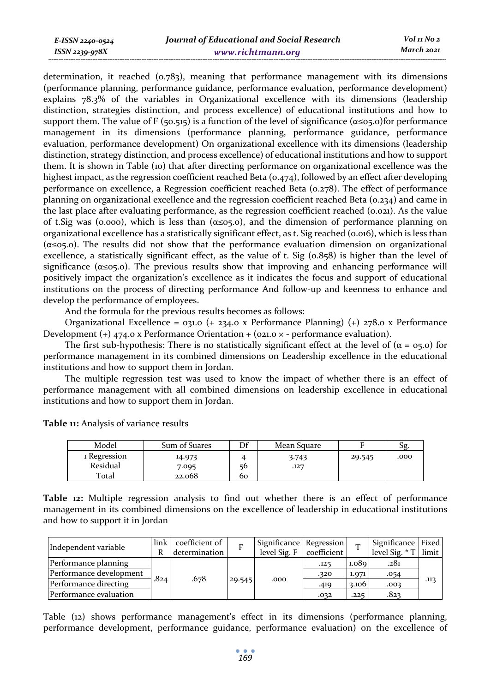| E-ISSN 2240-0524 | Jourr |
|------------------|-------|
| ISSN 2239-978X   |       |

determination, it reached (0.783), meaning that performance management with its dimensions (performance planning, performance guidance, performance evaluation, performance development) explains 78.3% of the variables in Organizational excellence with its dimensions (leadership distinction, strategies distinction, and process excellence) of educational institutions and how to support them. The value of F (50.515) is a function of the level of significance ( $\alpha \le 0.5$ .0)for performance management in its dimensions (performance planning, performance guidance, performance evaluation, performance development) On organizational excellence with its dimensions (leadership distinction, strategy distinction, and process excellence) of educational institutions and how to support them. It is shown in Table (10) that after directing performance on organizational excellence was the highest impact, as the regression coefficient reached Beta (0.474), followed by an effect after developing performance on excellence, a Regression coefficient reached Beta (0.278). The effect of performance planning on organizational excellence and the regression coefficient reached Beta (0.234) and came in the last place after evaluating performance, as the regression coefficient reached (0.021). As the value of t.Sig was (0.000), which is less than (α≤05.0), and the dimension of performance planning on organizational excellence has a statistically significant effect, as t. Sig reached (0.016), which is less than  $(\alpha \le 0.5)$ . The results did not show that the performance evaluation dimension on organizational excellence, a statistically significant effect, as the value of t. Sig (0.858) is higher than the level of significance ( $\alpha \leq 0.5$ . The previous results show that improving and enhancing performance will positively impact the organization's excellence as it indicates the focus and support of educational institutions on the process of directing performance And follow-up and keenness to enhance and develop the performance of employees.

And the formula for the previous results becomes as follows:

Organizational Excellence = 031.0 (+ 234.0 x Performance Planning) (+) 278.0 x Performance Development  $(+)$  474.0 x Performance Orientation + (021.0  $\times$  - performance evaluation).

The first sub-hypothesis: There is no statistically significant effect at the level of  $(\alpha = 0.5)$  for performance management in its combined dimensions on Leadership excellence in the educational institutions and how to support them in Jordan.

The multiple regression test was used to know the impact of whether there is an effect of performance management with all combined dimensions on leadership excellence in educational institutions and how to support them in Jordan.

**Table 11:** Analysis of variance results

| Model                    | Sum of Suares   | Df       | Mean Square |        | Sg.  |
|--------------------------|-----------------|----------|-------------|--------|------|
| 1 Regression<br>Residual | 14.973          |          | 3.743       | 29.545 | .000 |
| Total                    | 7.095<br>22.068 | 56<br>60 | .127        |        |      |

**Table 12:** Multiple regression analysis to find out whether there is an effect of performance management in its combined dimensions on the excellence of leadership in educational institutions and how to support it in Jordan

| Independent variable    | link<br>R | coefficient of<br>determination |        | Significance Regression<br>level Sig. F | coefficient | m     | Significance Fixed<br>level Sig. $*$ T | limit |
|-------------------------|-----------|---------------------------------|--------|-----------------------------------------|-------------|-------|----------------------------------------|-------|
| Performance planning    |           |                                 |        |                                         | .125        | 1.089 | .281                                   |       |
| Performance development | .824      | .678                            |        |                                         | .320        | 1.971 | .054                                   |       |
| Performance directing   |           |                                 | 29.545 | .000                                    | .419        | 3.106 | .002                                   | .113  |
| Performance evaluation  |           |                                 |        |                                         | .032        | .225  | .823                                   |       |

Table (12) shows performance management's effect in its dimensions (performance planning, performance development, performance guidance, performance evaluation) on the excellence of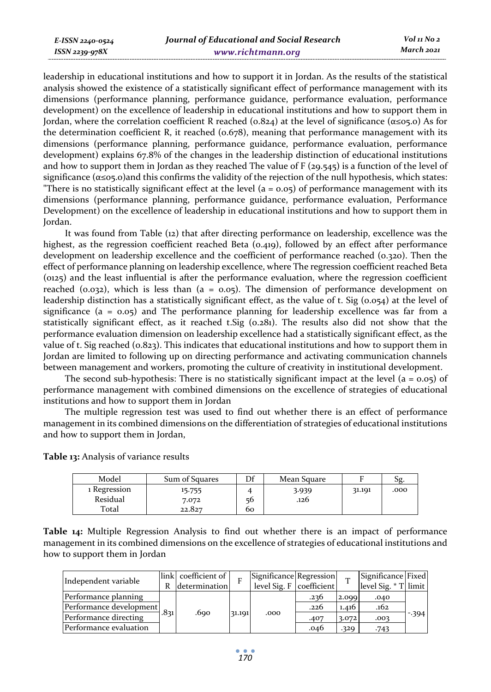leadership in educational institutions and how to support it in Jordan. As the results of the statistical analysis showed the existence of a statistically significant effect of performance management with its dimensions (performance planning, performance guidance, performance evaluation, performance development) on the excellence of leadership in educational institutions and how to support them in Jordan, where the correlation coefficient R reached ( $0.824$ ) at the level of significance ( $\alpha \le 0.805$ ) As for the determination coefficient R, it reached (0.678), meaning that performance management with its dimensions (performance planning, performance guidance, performance evaluation, performance development) explains 67.8% of the changes in the leadership distinction of educational institutions and how to support them in Jordan as they reached The value of F (29.545) is a function of the level of significance ( $\alpha \le 0$ , and this confirms the validity of the rejection of the null hypothesis, which states: "There is no statistically significant effect at the level  $(a = 0.05)$  of performance management with its dimensions (performance planning, performance guidance, performance evaluation, Performance Development) on the excellence of leadership in educational institutions and how to support them in Jordan.

It was found from Table (12) that after directing performance on leadership, excellence was the highest, as the regression coefficient reached Beta (0.419), followed by an effect after performance development on leadership excellence and the coefficient of performance reached (0.320). Then the effect of performance planning on leadership excellence, where The regression coefficient reached Beta (0125) and the least influential is after the performance evaluation, where the regression coefficient reached (0.032), which is less than ( $a = 0.05$ ). The dimension of performance development on leadership distinction has a statistically significant effect, as the value of t. Sig (0.054) at the level of significance ( $a = 0.05$ ) and The performance planning for leadership excellence was far from a statistically significant effect, as it reached t.Sig (0.281). The results also did not show that the performance evaluation dimension on leadership excellence had a statistically significant effect, as the value of t. Sig reached (0.823). This indicates that educational institutions and how to support them in Jordan are limited to following up on directing performance and activating communication channels between management and workers, promoting the culture of creativity in institutional development.

The second sub-hypothesis: There is no statistically significant impact at the level  $(a = 0.05)$  of performance management with combined dimensions on the excellence of strategies of educational institutions and how to support them in Jordan

The multiple regression test was used to find out whether there is an effect of performance management in its combined dimensions on the differentiation of strategies of educational institutions and how to support them in Jordan,

| Model                    | Sum of Squares  | Df | Mean Square   |        | Эg.  |
|--------------------------|-----------------|----|---------------|--------|------|
| 1 Regression<br>Residual | 15.755<br>7.072 | 56 | 3.939<br>.126 | 31.191 | .000 |
| Total                    | 22.827          | 60 |               |        |      |

**Table 13:** Analysis of variance results

**Table 14:** Multiple Regression Analysis to find out whether there is an impact of performance management in its combined dimensions on the excellence of strategies of educational institutions and how to support them in Jordan

| Independent variable    |      | link coefficient of |        | Significance Regression  |      |       | Significance Fixed   |        |
|-------------------------|------|---------------------|--------|--------------------------|------|-------|----------------------|--------|
|                         | R    | determination       |        | level Sig. F coefficient |      |       | level Sig. * T limit |        |
| Performance planning    |      |                     | 31.191 | .000                     | .236 | 2.099 | .040                 |        |
| Performance development | .831 | .690                |        |                          | .226 | 1.416 | .162                 |        |
| Performance directing   |      |                     |        |                          | .407 | 3.072 | .003                 | $-394$ |
| Performance evaluation  |      |                     |        |                          | .046 | .329  | .743                 |        |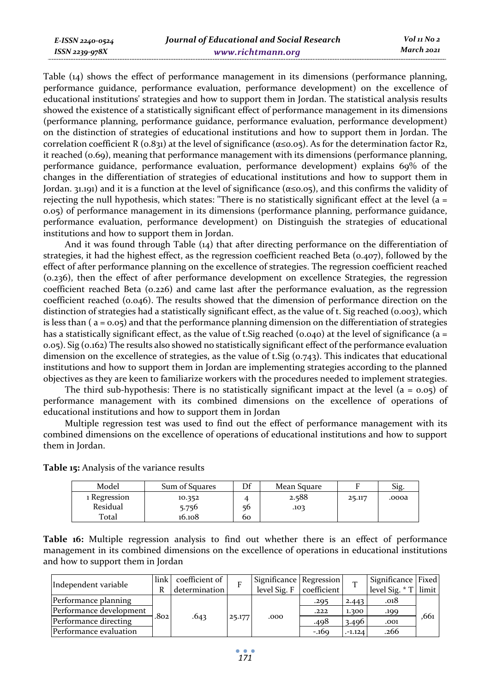Table (14) shows the effect of performance management in its dimensions (performance planning, performance guidance, performance evaluation, performance development) on the excellence of educational institutions' strategies and how to support them in Jordan. The statistical analysis results showed the existence of a statistically significant effect of performance management in its dimensions (performance planning, performance guidance, performance evaluation, performance development) on the distinction of strategies of educational institutions and how to support them in Jordan. The correlation coefficient R ( $0.831$ ) at the level of significance ( $\alpha \le 0.05$ ). As for the determination factor R2, it reached (0.69), meaning that performance management with its dimensions (performance planning, performance guidance, performance evaluation, performance development) explains 69% of the changes in the differentiation of strategies of educational institutions and how to support them in Jordan. 31.191) and it is a function at the level of significance (α≤0.05), and this confirms the validity of rejecting the null hypothesis, which states: "There is no statistically significant effect at the level ( $a =$ 0.05) of performance management in its dimensions (performance planning, performance guidance, performance evaluation, performance development) on Distinguish the strategies of educational institutions and how to support them in Jordan.

And it was found through Table (14) that after directing performance on the differentiation of strategies, it had the highest effect, as the regression coefficient reached Beta ( $0.407$ ), followed by the effect of after performance planning on the excellence of strategies. The regression coefficient reached (0.236), then the effect of after performance development on excellence Strategies, the regression coefficient reached Beta (0.226) and came last after the performance evaluation, as the regression coefficient reached (0.046). The results showed that the dimension of performance direction on the distinction of strategies had a statistically significant effect, as the value of t. Sig reached (0.003), which is less than ( $a = 0.05$ ) and that the performance planning dimension on the differentiation of strategies has a statistically significant effect, as the value of t. Sig reached (0.040) at the level of significance (a = 0.05). Sig (0.162) The results also showed no statistically significant effect of the performance evaluation dimension on the excellence of strategies, as the value of t. Sig ( $o.743$ ). This indicates that educational institutions and how to support them in Jordan are implementing strategies according to the planned objectives as they are keen to familiarize workers with the procedures needed to implement strategies.

The third sub-hypothesis: There is no statistically significant impact at the level  $(a = 0.05)$  of performance management with its combined dimensions on the excellence of operations of educational institutions and how to support them in Jordan

Multiple regression test was used to find out the effect of performance management with its combined dimensions on the excellence of operations of educational institutions and how to support them in Jordan.

| Model                             | Sum of Squares            | Df       | Mean Square   |        | Sig.  |
|-----------------------------------|---------------------------|----------|---------------|--------|-------|
| 1 Regression<br>Residual<br>Total | 10.352<br>5.756<br>16.108 | 56<br>60 | 2.588<br>.103 | 25.117 | .oooa |

**Table 15:** Analysis of the variance results

**Table 16:** Multiple regression analysis to find out whether there is an effect of performance management in its combined dimensions on the excellence of operations in educational institutions and how to support them in Jordan

| Independent variable    | $\ln k$           | coefficient of |        | Significance Regression |             |          | Significance Fixed   |      |
|-------------------------|-------------------|----------------|--------|-------------------------|-------------|----------|----------------------|------|
|                         | R                 | determination  |        | level Sig. $F$          | coefficient |          | level Sig. * T limit |      |
| Performance planning    |                   |                |        |                         | .295        | 2.443    | .018                 |      |
| Performance development | .802 <sub>1</sub> |                | 25.177 |                         | .222        | 1.300    | .199                 | .661 |
| Performance directing   |                   | .643           |        | .000                    | .498        | 3.496    | .001                 |      |
| Performance evaluation  |                   |                |        |                         | $-169$      | $-1.124$ | .266                 |      |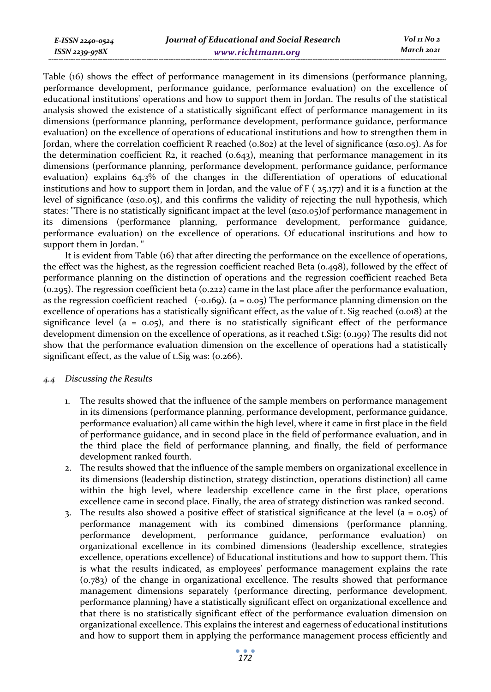Table (16) shows the effect of performance management in its dimensions (performance planning, performance development, performance guidance, performance evaluation) on the excellence of educational institutions' operations and how to support them in Jordan. The results of the statistical analysis showed the existence of a statistically significant effect of performance management in its dimensions (performance planning, performance development, performance guidance, performance evaluation) on the excellence of operations of educational institutions and how to strengthen them in Jordan, where the correlation coefficient R reached (0.802) at the level of significance ( $\alpha \le 0.05$ ). As for the determination coefficient R2, it reached  $(0.643)$ , meaning that performance management in its dimensions (performance planning, performance development, performance guidance, performance evaluation) explains 64.3% of the changes in the differentiation of operations of educational institutions and how to support them in Jordan, and the value of  $F(z_5,177)$  and it is a function at the level of significance (α≤0.05), and this confirms the validity of rejecting the null hypothesis, which states: "There is no statistically significant impact at the level (α≤0.05)of performance management in its dimensions (performance planning, performance development, performance guidance, performance evaluation) on the excellence of operations. Of educational institutions and how to support them in Jordan. "

It is evident from Table (16) that after directing the performance on the excellence of operations, the effect was the highest, as the regression coefficient reached Beta (0.498), followed by the effect of performance planning on the distinction of operations and the regression coefficient reached Beta (0.295). The regression coefficient beta (0.222) came in the last place after the performance evaluation, as the regression coefficient reached  $(-0.169)$ .  $(a = 0.05)$  The performance planning dimension on the excellence of operations has a statistically significant effect, as the value of t. Sig reached (0.018) at the significance level ( $a = 0.05$ ), and there is no statistically significant effect of the performance development dimension on the excellence of operations, as it reached t.Sig: (0.199) The results did not show that the performance evaluation dimension on the excellence of operations had a statistically significant effect, as the value of t. Sig was: (0.266).

### *4.4 Discussing the Results*

- 1. The results showed that the influence of the sample members on performance management in its dimensions (performance planning, performance development, performance guidance, performance evaluation) all came within the high level, where it came in first place in the field of performance guidance, and in second place in the field of performance evaluation, and in the third place the field of performance planning, and finally, the field of performance development ranked fourth.
- 2. The results showed that the influence of the sample members on organizational excellence in its dimensions (leadership distinction, strategy distinction, operations distinction) all came within the high level, where leadership excellence came in the first place, operations excellence came in second place. Finally, the area of strategy distinction was ranked second.
- 3. The results also showed a positive effect of statistical significance at the level  $(a = 0.05)$  of performance management with its combined dimensions (performance planning, performance development, performance guidance, performance evaluation) organizational excellence in its combined dimensions (leadership excellence, strategies excellence, operations excellence) of Educational institutions and how to support them. This is what the results indicated, as employees' performance management explains the rate (0.783) of the change in organizational excellence. The results showed that performance management dimensions separately (performance directing, performance development, performance planning) have a statistically significant effect on organizational excellence and that there is no statistically significant effect of the performance evaluation dimension on organizational excellence. This explains the interest and eagerness of educational institutions and how to support them in applying the performance management process efficiently and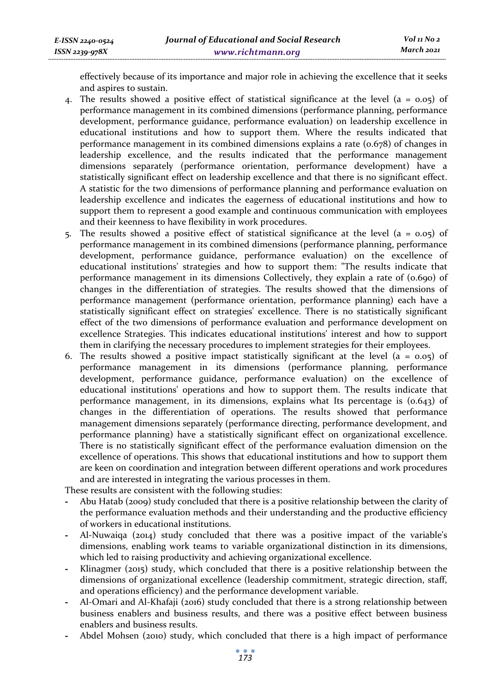effectively because of its importance and major role in achieving the excellence that it seeks and aspires to sustain.

- 4. The results showed a positive effect of statistical significance at the level ( $a = 0.05$ ) of performance management in its combined dimensions (performance planning, performance development, performance guidance, performance evaluation) on leadership excellence in educational institutions and how to support them. Where the results indicated that performance management in its combined dimensions explains a rate (0.678) of changes in leadership excellence, and the results indicated that the performance management dimensions separately (performance orientation, performance development) have a statistically significant effect on leadership excellence and that there is no significant effect. A statistic for the two dimensions of performance planning and performance evaluation on leadership excellence and indicates the eagerness of educational institutions and how to support them to represent a good example and continuous communication with employees and their keenness to have flexibility in work procedures.
- 5. The results showed a positive effect of statistical significance at the level ( $a = 0.05$ ) of performance management in its combined dimensions (performance planning, performance development, performance guidance, performance evaluation) on the excellence of educational institutions' strategies and how to support them: "The results indicate that performance management in its dimensions Collectively, they explain a rate of (0.690) of changes in the differentiation of strategies. The results showed that the dimensions of performance management (performance orientation, performance planning) each have a statistically significant effect on strategies' excellence. There is no statistically significant effect of the two dimensions of performance evaluation and performance development on excellence Strategies. This indicates educational institutions' interest and how to support them in clarifying the necessary procedures to implement strategies for their employees.
- 6. The results showed a positive impact statistically significant at the level ( $a = 0.05$ ) of performance management in its dimensions (performance planning, performance development, performance guidance, performance evaluation) on the excellence of educational institutions' operations and how to support them. The results indicate that performance management, in its dimensions, explains what Its percentage is (0.643) of changes in the differentiation of operations. The results showed that performance management dimensions separately (performance directing, performance development, and performance planning) have a statistically significant effect on organizational excellence. There is no statistically significant effect of the performance evaluation dimension on the excellence of operations. This shows that educational institutions and how to support them are keen on coordination and integration between different operations and work procedures and are interested in integrating the various processes in them.

These results are consistent with the following studies:

- **-** Abu Hatab (2009) study concluded that there is a positive relationship between the clarity of the performance evaluation methods and their understanding and the productive efficiency of workers in educational institutions.
- **-** Al-Nuwaiqa (2014) study concluded that there was a positive impact of the variable's dimensions, enabling work teams to variable organizational distinction in its dimensions, which led to raising productivity and achieving organizational excellence.
- **-** Klinagmer (2015) study, which concluded that there is a positive relationship between the dimensions of organizational excellence (leadership commitment, strategic direction, staff, and operations efficiency) and the performance development variable.
- **-** Al-Omari and Al-Khafaji (2016) study concluded that there is a strong relationship between business enablers and business results, and there was a positive effect between business enablers and business results.
- **-** Abdel Mohsen (2010) study, which concluded that there is a high impact of performance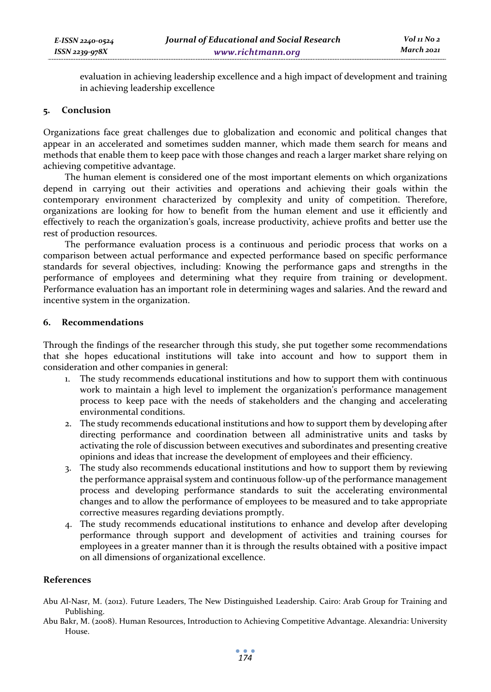evaluation in achieving leadership excellence and a high impact of development and training in achieving leadership excellence

#### **5. Conclusion**

Organizations face great challenges due to globalization and economic and political changes that appear in an accelerated and sometimes sudden manner, which made them search for means and methods that enable them to keep pace with those changes and reach a larger market share relying on achieving competitive advantage.

The human element is considered one of the most important elements on which organizations depend in carrying out their activities and operations and achieving their goals within the contemporary environment characterized by complexity and unity of competition. Therefore, organizations are looking for how to benefit from the human element and use it efficiently and effectively to reach the organization's goals, increase productivity, achieve profits and better use the rest of production resources.

The performance evaluation process is a continuous and periodic process that works on a comparison between actual performance and expected performance based on specific performance standards for several objectives, including: Knowing the performance gaps and strengths in the performance of employees and determining what they require from training or development. Performance evaluation has an important role in determining wages and salaries. And the reward and incentive system in the organization.

### **6. Recommendations**

Through the findings of the researcher through this study, she put together some recommendations that she hopes educational institutions will take into account and how to support them in consideration and other companies in general:

- 1. The study recommends educational institutions and how to support them with continuous work to maintain a high level to implement the organization's performance management process to keep pace with the needs of stakeholders and the changing and accelerating environmental conditions.
- 2. The study recommends educational institutions and how to support them by developing after directing performance and coordination between all administrative units and tasks by activating the role of discussion between executives and subordinates and presenting creative opinions and ideas that increase the development of employees and their efficiency.
- 3. The study also recommends educational institutions and how to support them by reviewing the performance appraisal system and continuous follow-up of the performance management process and developing performance standards to suit the accelerating environmental changes and to allow the performance of employees to be measured and to take appropriate corrective measures regarding deviations promptly.
- 4. The study recommends educational institutions to enhance and develop after developing performance through support and development of activities and training courses for employees in a greater manner than it is through the results obtained with a positive impact on all dimensions of organizational excellence.

### **References**

- Abu Al-Nasr, M. (2012). Future Leaders, The New Distinguished Leadership. Cairo: Arab Group for Training and Publishing.
- Abu Bakr, M. (2008). Human Resources, Introduction to Achieving Competitive Advantage. Alexandria: University House.